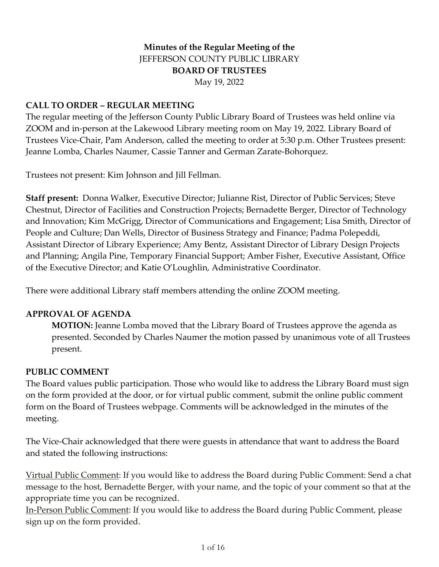# **Minutes of the Regular Meeting of the** JEFFERSON COUNTY PUBLIC LIBRARY **BOARD OF TRUSTEES**  May 19, 2022

#### **CALL TO ORDER – REGULAR MEETING**

The regular meeting of the Jefferson County Public Library Board of Trustees was held online via ZOOM and in-person at the Lakewood Library meeting room on May 19, 2022. Library Board of Trustees Vice-Chair, Pam Anderson, called the meeting to order at 5:30 p.m. Other Trustees present: Jeanne Lomba, Charles Naumer, Cassie Tanner and German Zarate-Bohorquez.

Trustees not present: Kim Johnson and Jill Fellman.

**Staff present:** Donna Walker, Executive Director; Julianne Rist, Director of Public Services; Steve Chestnut, Director of Facilities and Construction Projects; Bernadette Berger, Director of Technology and Innovation; Kim McGrigg, Director of Communications and Engagement; Lisa Smith, Director of People and Culture; Dan Wells, Director of Business Strategy and Finance; Padma Polepeddi, Assistant Director of Library Experience; Amy Bentz, Assistant Director of Library Design Projects and Planning; Angila Pine, Temporary Financial Support; Amber Fisher, Executive Assistant, Office of the Executive Director; and Katie O'Loughlin, Administrative Coordinator.

There were additional Library staff members attending the online ZOOM meeting.

#### **APPROVAL OF AGENDA**

**MOTION:** Jeanne Lomba moved that the Library Board of Trustees approve the agenda as presented. Seconded by Charles Naumer the motion passed by unanimous vote of all Trustees present.

#### **PUBLIC COMMENT**

The Board values public participation. Those who would like to address the Library Board must sign on the form provided at the door, or for virtual public comment, submit the online public comment form on the Board of Trustees webpage. Comments will be acknowledged in the minutes of the meeting.

The Vice-Chair acknowledged that there were guests in attendance that want to address the Board and stated the following instructions:

Virtual Public Comment: If you would like to address the Board during Public Comment: Send a chat message to the host, Bernadette Berger, with your name, and the topic of your comment so that at the appropriate time you can be recognized.

In-Person Public Comment: If you would like to address the Board during Public Comment, please sign up on the form provided.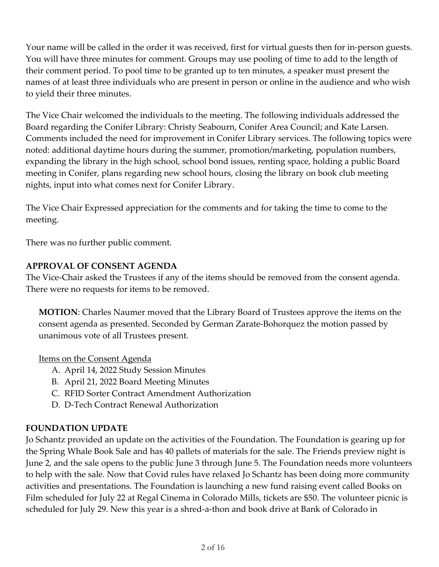Your name will be called in the order it was received, first for virtual guests then for in-person guests. You will have three minutes for comment. Groups may use pooling of time to add to the length of their comment period. To pool time to be granted up to ten minutes, a speaker must present the names of at least three individuals who are present in person or online in the audience and who wish to yield their three minutes.

The Vice Chair welcomed the individuals to the meeting. The following individuals addressed the Board regarding the Conifer Library: Christy Seabourn, Conifer Area Council; and Kate Larsen. Comments included the need for improvement in Conifer Library services. The following topics were noted: additional daytime hours during the summer, promotion/marketing, population numbers, expanding the library in the high school, school bond issues, renting space, holding a public Board meeting in Conifer, plans regarding new school hours, closing the library on book club meeting nights, input into what comes next for Conifer Library.

The Vice Chair Expressed appreciation for the comments and for taking the time to come to the meeting.

There was no further public comment.

# **APPROVAL OF CONSENT AGENDA**

The Vice-Chair asked the Trustees if any of the items should be removed from the consent agenda. There were no requests for items to be removed.

**MOTION**: Charles Naumer moved that the Library Board of Trustees approve the items on the consent agenda as presented. Seconded by German Zarate-Bohorquez the motion passed by unanimous vote of all Trustees present.

# Items on the Consent Agenda

- A. April 14, 2022 Study Session Minutes
- B. April 21, 2022 Board Meeting Minutes
- C. RFID Sorter Contract Amendment Authorization
- D. D-Tech Contract Renewal Authorization

# **FOUNDATION UPDATE**

Jo Schantz provided an update on the activities of the Foundation. The Foundation is gearing up for the Spring Whale Book Sale and has 40 pallets of materials for the sale. The Friends preview night is June 2, and the sale opens to the public June 3 through June 5. The Foundation needs more volunteers to help with the sale. Now that Covid rules have relaxed Jo Schantz has been doing more community activities and presentations. The Foundation is launching a new fund raising event called Books on Film scheduled for July 22 at Regal Cinema in Colorado Mills, tickets are \$50. The volunteer picnic is scheduled for July 29. New this year is a shred-a-thon and book drive at Bank of Colorado in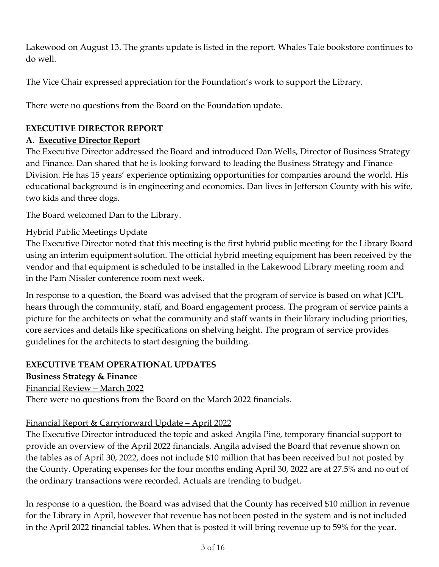Lakewood on August 13. The grants update is listed in the report. Whales Tale bookstore continues to do well.

The Vice Chair expressed appreciation for the Foundation's work to support the Library.

There were no questions from the Board on the Foundation update.

# **EXECUTIVE DIRECTOR REPORT**

# **A. Executive Director Report**

The Executive Director addressed the Board and introduced Dan Wells, Director of Business Strategy and Finance. Dan shared that he is looking forward to leading the Business Strategy and Finance Division. He has 15 years' experience optimizing opportunities for companies around the world. His educational background is in engineering and economics. Dan lives in Jefferson County with his wife, two kids and three dogs.

The Board welcomed Dan to the Library.

# Hybrid Public Meetings Update

The Executive Director noted that this meeting is the first hybrid public meeting for the Library Board using an interim equipment solution. The official hybrid meeting equipment has been received by the vendor and that equipment is scheduled to be installed in the Lakewood Library meeting room and in the Pam Nissler conference room next week.

In response to a question, the Board was advised that the program of service is based on what JCPL hears through the community, staff, and Board engagement process. The program of service paints a picture for the architects on what the community and staff wants in their library including priorities, core services and details like specifications on shelving height. The program of service provides guidelines for the architects to start designing the building.

# **EXECUTIVE TEAM OPERATIONAL UPDATES**

**Business Strategy & Finance**

# Financial Review – March 2022

There were no questions from the Board on the March 2022 financials.

# Financial Report & Carryforward Update – April 2022

The Executive Director introduced the topic and asked Angila Pine, temporary financial support to provide an overview of the April 2022 financials. Angila advised the Board that revenue shown on the tables as of April 30, 2022, does not include \$10 million that has been received but not posted by the County. Operating expenses for the four months ending April 30, 2022 are at 27.5% and no out of the ordinary transactions were recorded. Actuals are trending to budget.

In response to a question, the Board was advised that the County has received \$10 million in revenue for the Library in April, however that revenue has not been posted in the system and is not included in the April 2022 financial tables. When that is posted it will bring revenue up to 59% for the year.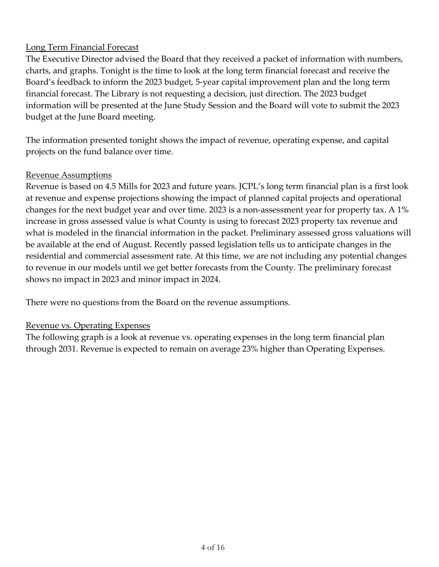### Long Term Financial Forecast

The Executive Director advised the Board that they received a packet of information with numbers, charts, and graphs. Tonight is the time to look at the long term financial forecast and receive the Board's feedback to inform the 2023 budget, 5-year capital improvement plan and the long term financial forecast. The Library is not requesting a decision, just direction. The 2023 budget information will be presented at the June Study Session and the Board will vote to submit the 2023 budget at the June Board meeting.

The information presented tonight shows the impact of revenue, operating expense, and capital projects on the fund balance over time.

#### Revenue Assumptions

Revenue is based on 4.5 Mills for 2023 and future years. JCPL's long term financial plan is a first look at revenue and expense projections showing the impact of planned capital projects and operational changes for the next budget year and over time. 2023 is a non-assessment year for property tax. A 1% increase in gross assessed value is what County is using to forecast 2023 property tax revenue and what is modeled in the financial information in the packet. Preliminary assessed gross valuations will be available at the end of August. Recently passed legislation tells us to anticipate changes in the residential and commercial assessment rate. At this time, we are not including any potential changes to revenue in our models until we get better forecasts from the County. The preliminary forecast shows no impact in 2023 and minor impact in 2024.

There were no questions from the Board on the revenue assumptions.

#### Revenue vs. Operating Expenses

The following graph is a look at revenue vs. operating expenses in the long term financial plan through 2031. Revenue is expected to remain on average 23% higher than Operating Expenses.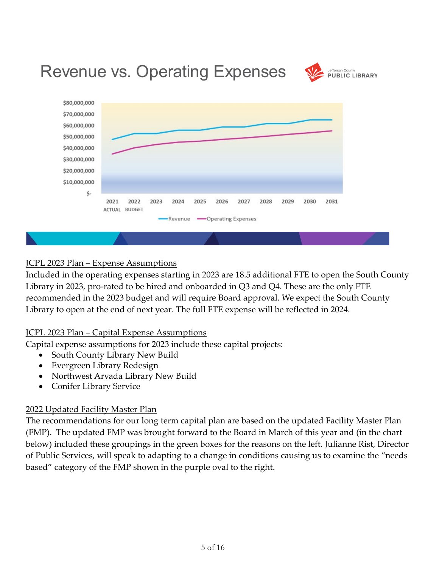

# JCPL 2023 Plan – Expense Assumptions

Included in the operating expenses starting in 2023 are 18.5 additional FTE to open the South County Library in 2023, pro-rated to be hired and onboarded in Q3 and Q4. These are the only FTE recommended in the 2023 budget and will require Board approval. We expect the South County Library to open at the end of next year. The full FTE expense will be reflected in 2024.

# JCPL 2023 Plan – Capital Expense Assumptions

Capital expense assumptions for 2023 include these capital projects:

- South County Library New Build
- Evergreen Library Redesign
- Northwest Arvada Library New Build
- Conifer Library Service

# 2022 Updated Facility Master Plan

The recommendations for our long term capital plan are based on the updated Facility Master Plan (FMP). The updated FMP was brought forward to the Board in March of this year and (in the chart below) included these groupings in the green boxes for the reasons on the left. Julianne Rist, Director of Public Services, will speak to adapting to a change in conditions causing us to examine the "needs based" category of the FMP shown in the purple oval to the right.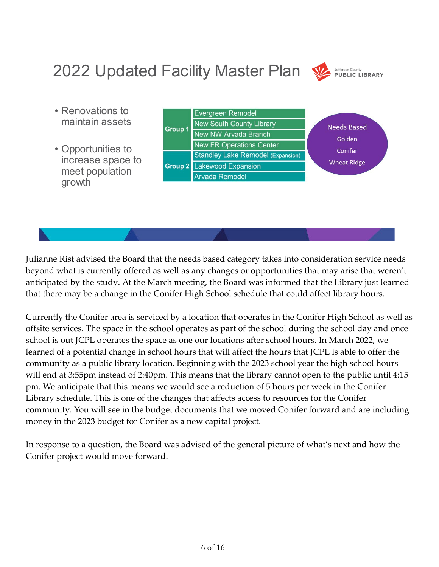# 2022 Updated Facility Master Plan



- Renovations to maintain assets
- Opportunities to increase space to meet population growth

| Group 1    | Evergreen Remodel<br><b>New South County Library</b><br>New NW Arvada Branch<br><b>New FR Operations Center</b> | <b>Needs Based</b><br>Golden  |
|------------|-----------------------------------------------------------------------------------------------------------------|-------------------------------|
| $3$ roup 2 | <b>Standley Lake Remodel (Expansion)</b><br><b>Lakewood Expansion</b><br><b>Arvada Remodel</b>                  | Conifer<br><b>Wheat Ridge</b> |
|            |                                                                                                                 |                               |

Julianne Rist advised the Board that the needs based category takes into consideration service needs beyond what is currently offered as well as any changes or opportunities that may arise that weren't anticipated by the study. At the March meeting, the Board was informed that the Library just learned that there may be a change in the Conifer High School schedule that could affect library hours.

Currently the Conifer area is serviced by a location that operates in the Conifer High School as well as offsite services. The space in the school operates as part of the school during the school day and once school is out JCPL operates the space as one our locations after school hours. In March 2022, we learned of a potential change in school hours that will affect the hours that JCPL is able to offer the community as a public library location. Beginning with the 2023 school year the high school hours will end at 3:55pm instead of 2:40pm. This means that the library cannot open to the public until 4:15 pm. We anticipate that this means we would see a reduction of 5 hours per week in the Conifer Library schedule. This is one of the changes that affects access to resources for the Conifer community. You will see in the budget documents that we moved Conifer forward and are including money in the 2023 budget for Conifer as a new capital project.

In response to a question, the Board was advised of the general picture of what's next and how the Conifer project would move forward.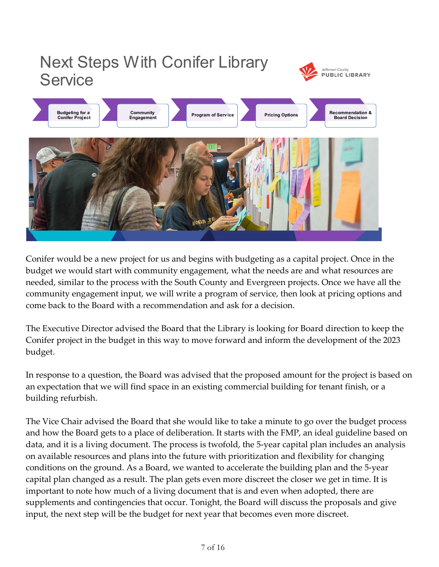

Conifer would be a new project for us and begins with budgeting as a capital project. Once in the budget we would start with community engagement, what the needs are and what resources are needed, similar to the process with the South County and Evergreen projects. Once we have all the community engagement input, we will write a program of service, then look at pricing options and come back to the Board with a recommendation and ask for a decision.

The Executive Director advised the Board that the Library is looking for Board direction to keep the Conifer project in the budget in this way to move forward and inform the development of the 2023 budget.

In response to a question, the Board was advised that the proposed amount for the project is based on an expectation that we will find space in an existing commercial building for tenant finish, or a building refurbish.

The Vice Chair advised the Board that she would like to take a minute to go over the budget process and how the Board gets to a place of deliberation. It starts with the FMP, an ideal guideline based on data, and it is a living document. The process is twofold, the 5-year capital plan includes an analysis on available resources and plans into the future with prioritization and flexibility for changing conditions on the ground. As a Board, we wanted to accelerate the building plan and the 5-year capital plan changed as a result. The plan gets even more discreet the closer we get in time. It is important to note how much of a living document that is and even when adopted, there are supplements and contingencies that occur. Tonight, the Board will discuss the proposals and give input, the next step will be the budget for next year that becomes even more discreet.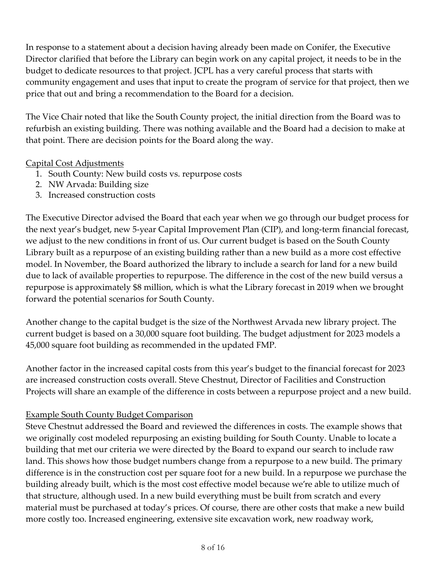In response to a statement about a decision having already been made on Conifer, the Executive Director clarified that before the Library can begin work on any capital project, it needs to be in the budget to dedicate resources to that project. JCPL has a very careful process that starts with community engagement and uses that input to create the program of service for that project, then we price that out and bring a recommendation to the Board for a decision.

The Vice Chair noted that like the South County project, the initial direction from the Board was to refurbish an existing building. There was nothing available and the Board had a decision to make at that point. There are decision points for the Board along the way.

#### Capital Cost Adjustments

- 1. South County: New build costs vs. repurpose costs
- 2. NW Arvada: Building size
- 3. Increased construction costs

The Executive Director advised the Board that each year when we go through our budget process for the next year's budget, new 5-year Capital Improvement Plan (CIP), and long-term financial forecast, we adjust to the new conditions in front of us. Our current budget is based on the South County Library built as a repurpose of an existing building rather than a new build as a more cost effective model. In November, the Board authorized the library to include a search for land for a new build due to lack of available properties to repurpose. The difference in the cost of the new build versus a repurpose is approximately \$8 million, which is what the Library forecast in 2019 when we brought forward the potential scenarios for South County.

Another change to the capital budget is the size of the Northwest Arvada new library project. The current budget is based on a 30,000 square foot building. The budget adjustment for 2023 models a 45,000 square foot building as recommended in the updated FMP.

Another factor in the increased capital costs from this year's budget to the financial forecast for 2023 are increased construction costs overall. Steve Chestnut, Director of Facilities and Construction Projects will share an example of the difference in costs between a repurpose project and a new build.

# Example South County Budget Comparison

Steve Chestnut addressed the Board and reviewed the differences in costs. The example shows that we originally cost modeled repurposing an existing building for South County. Unable to locate a building that met our criteria we were directed by the Board to expand our search to include raw land. This shows how those budget numbers change from a repurpose to a new build. The primary difference is in the construction cost per square foot for a new build. In a repurpose we purchase the building already built, which is the most cost effective model because we're able to utilize much of that structure, although used. In a new build everything must be built from scratch and every material must be purchased at today's prices. Of course, there are other costs that make a new build more costly too. Increased engineering, extensive site excavation work, new roadway work,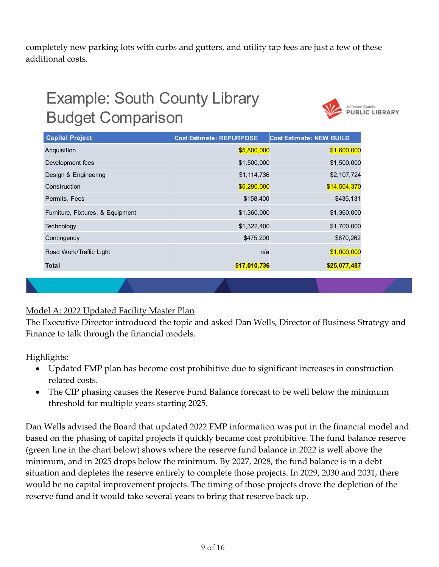completely new parking lots with curbs and gutters, and utility tap fees are just a few of these additional costs.

# Example: South County Library Budget Comparison



| <b>Capital Project</b>           | <b>Cost Estimate: REPURPOSE</b> | <b>Cost Estimate: NEW BUILD</b> |
|----------------------------------|---------------------------------|---------------------------------|
| Acquisition                      | \$5,800,000                     | \$1,600,000                     |
| Development fees                 | \$1,500,000                     | \$1,500,000                     |
| Design & Engineering             | \$1,114,736                     | \$2,107,724                     |
| Construction                     | \$5,280,000                     | \$14,504,370                    |
| Permits, Fees                    | \$158,400                       | \$435,131                       |
| Furniture, Fixtures, & Equipment | \$1,360,000                     | \$1,360,000                     |
| Technology                       | \$1,322,400                     | \$1,700,000                     |
| Contingency                      | \$475,200                       | \$870,262                       |
| Road Work/Traffic Light          | n/a                             | \$1,000,000                     |
| <b>Total</b>                     | \$17,010,736                    | \$25,077,487                    |
|                                  |                                 |                                 |

# Model A: 2022 Updated Facility Master Plan

The Executive Director introduced the topic and asked Dan Wells, Director of Business Strategy and Finance to talk through the financial models.

Highlights:

- Updated FMP plan has become cost prohibitive due to significant increases in construction related costs.
- The CIP phasing causes the Reserve Fund Balance forecast to be well below the minimum threshold for multiple years starting 2025.

Dan Wells advised the Board that updated 2022 FMP information was put in the financial model and based on the phasing of capital projects it quickly became cost prohibitive. The fund balance reserve (green line in the chart below) shows where the reserve fund balance in 2022 is well above the minimum, and in 2025 drops below the minimum. By 2027, 2028, the fund balance is in a debt situation and depletes the reserve entirely to complete those projects. In 2029, 2030 and 2031, there would be no capital improvement projects. The timing of those projects drove the depletion of the reserve fund and it would take several years to bring that reserve back up.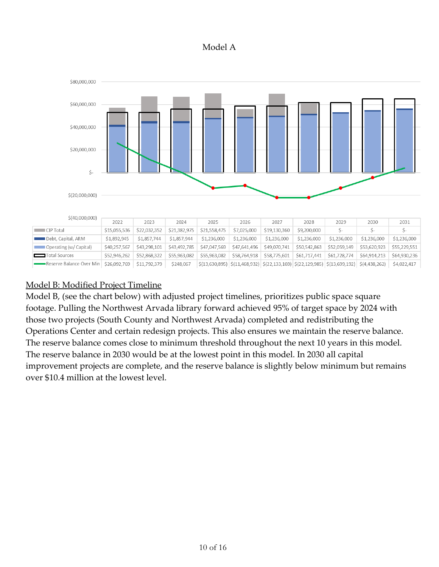#### Model A



|  | \$(40,000,000)                              |              |              |              |              |              |              |              |                                                                                                                                                                                                                         |              |              |
|--|---------------------------------------------|--------------|--------------|--------------|--------------|--------------|--------------|--------------|-------------------------------------------------------------------------------------------------------------------------------------------------------------------------------------------------------------------------|--------------|--------------|
|  |                                             | 2022         | 2023         | 2024         | 2025         | 2026         | 2027         | 2028         | 2029                                                                                                                                                                                                                    | 2030         | 2031         |
|  | CIP Total                                   | \$15,055,536 | \$22,032,352 | \$21,382,975 | \$21,558,475 | \$7,025,000  | \$19,130,360 | \$9,200,000  |                                                                                                                                                                                                                         |              | $S-$         |
|  | Debt, Capital, ARM                          | \$1.892.945  | \$1,857,744  | \$1,857,944  | \$1,236,000  | \$1,236,000  | \$1,236,000  | \$1,236,000  | \$1,236,000                                                                                                                                                                                                             | \$1,236,000  | \$1,236,000  |
|  | Operating (w/ Capital)<br><b>The Common</b> | \$40,257,567 | \$43,298,101 | \$43,492,785 | \$47,047,569 | \$47,641,496 | \$49,070,741 | \$50,542,863 | \$52,059,149                                                                                                                                                                                                            | \$53,620,923 | \$55,229,551 |
|  | <b>Total Sources</b>                        | \$52,946,262 | \$52.868.322 | \$55,963,082 | \$55,963,082 | \$58,764,918 | \$58,775,601 | \$61,717,441 | \$61,728,774                                                                                                                                                                                                            | \$64,914,213 | \$64,930,236 |
|  | Reserve Balance Over Min   \$26,092,769     |              | \$11,792,379 | \$248,067    |              |              |              |              | $\left  \frac{2}{3}, \frac{2}{3}, \frac{2}{3}, \frac{2}{3}, \frac{2}{3}, \frac{2}{3} \right $ \end{bmatrix} (13,630,895) \end{bmatrix} (13,630,895) \end{bmatrix} (13,630,895) \end{bmatrix} (13,630,895) \end{bmatrix} |              | \$4,022,417  |

# Model B: Modified Project Timeline

Model B, (see the chart below) with adjusted project timelines, prioritizes public space square footage. Pulling the Northwest Arvada library forward achieved 95% of target space by 2024 with those two projects (South County and Northwest Arvada) completed and redistributing the Operations Center and certain redesign projects. This also ensures we maintain the reserve balance. The reserve balance comes close to minimum threshold throughout the next 10 years in this model. The reserve balance in 2030 would be at the lowest point in this model. In 2030 all capital improvement projects are complete, and the reserve balance is slightly below minimum but remains over \$10.4 million at the lowest level.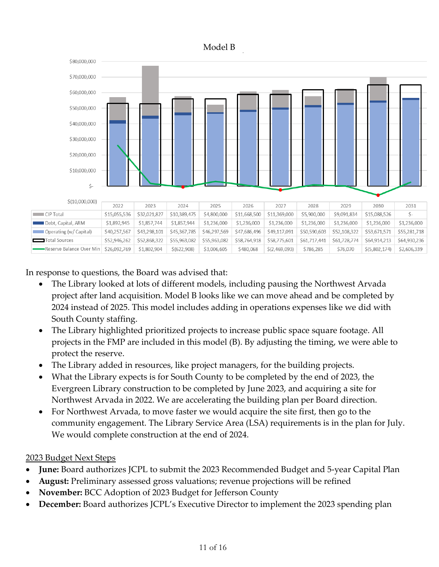

In response to questions, the Board was advised that:

- The Library looked at lots of different models, including pausing the Northwest Arvada project after land acquisition. Model B looks like we can move ahead and be completed by 2024 instead of 2025. This model includes adding in operations expenses like we did with South County staffing.
- The Library highlighted prioritized projects to increase public space square footage. All projects in the FMP are included in this model (B). By adjusting the timing, we were able to protect the reserve.
- The Library added in resources, like project managers, for the building projects.
- What the Library expects is for South County to be completed by the end of 2023, the Evergreen Library construction to be completed by June 2023, and acquiring a site for Northwest Arvada in 2022. We are accelerating the building plan per Board direction.
- For Northwest Arvada, to move faster we would acquire the site first, then go to the community engagement. The Library Service Area (LSA) requirements is in the plan for July. We would complete construction at the end of 2024.

# 2023 Budget Next Steps

- **June:** Board authorizes JCPL to submit the 2023 Recommended Budget and 5-year Capital Plan
- **August:** Preliminary assessed gross valuations; revenue projections will be refined
- **November:** BCC Adoption of 2023 Budget for Jefferson County
- **December:** Board authorizes JCPL's Executive Director to implement the 2023 spending plan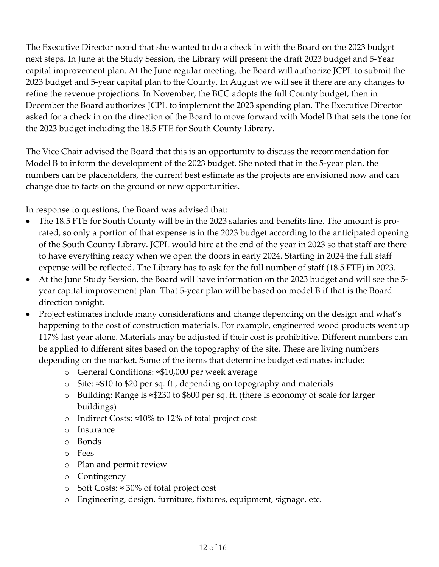The Executive Director noted that she wanted to do a check in with the Board on the 2023 budget next steps. In June at the Study Session, the Library will present the draft 2023 budget and 5-Year capital improvement plan. At the June regular meeting, the Board will authorize JCPL to submit the 2023 budget and 5-year capital plan to the County. In August we will see if there are any changes to refine the revenue projections. In November, the BCC adopts the full County budget, then in December the Board authorizes JCPL to implement the 2023 spending plan. The Executive Director asked for a check in on the direction of the Board to move forward with Model B that sets the tone for the 2023 budget including the 18.5 FTE for South County Library.

The Vice Chair advised the Board that this is an opportunity to discuss the recommendation for Model B to inform the development of the 2023 budget. She noted that in the 5-year plan, the numbers can be placeholders, the current best estimate as the projects are envisioned now and can change due to facts on the ground or new opportunities.

In response to questions, the Board was advised that:

- The 18.5 FTE for South County will be in the 2023 salaries and benefits line. The amount is prorated, so only a portion of that expense is in the 2023 budget according to the anticipated opening of the South County Library. JCPL would hire at the end of the year in 2023 so that staff are there to have everything ready when we open the doors in early 2024. Starting in 2024 the full staff expense will be reflected. The Library has to ask for the full number of staff (18.5 FTE) in 2023.
- At the June Study Session, the Board will have information on the 2023 budget and will see the 5 year capital improvement plan. That 5-year plan will be based on model B if that is the Board direction tonight.
- Project estimates include many considerations and change depending on the design and what's happening to the cost of construction materials. For example, engineered wood products went up 117% last year alone. Materials may be adjusted if their cost is prohibitive. Different numbers can be applied to different sites based on the topography of the site. These are living numbers depending on the market. Some of the items that determine budget estimates include:
	- o General Conditions: ≈\$10,000 per week average
	- o Site: ≈\$10 to \$20 per sq. ft., depending on topography and materials
	- o Building: Range is ≈\$230 to \$800 per sq. ft. (there is economy of scale for larger buildings)
	- o Indirect Costs: ≈10% to 12% of total project cost
	- o Insurance
	- o Bonds
	- o Fees
	- o Plan and permit review
	- o Contingency
	- o Soft Costs: ≈ 30% of total project cost
	- o Engineering, design, furniture, fixtures, equipment, signage, etc.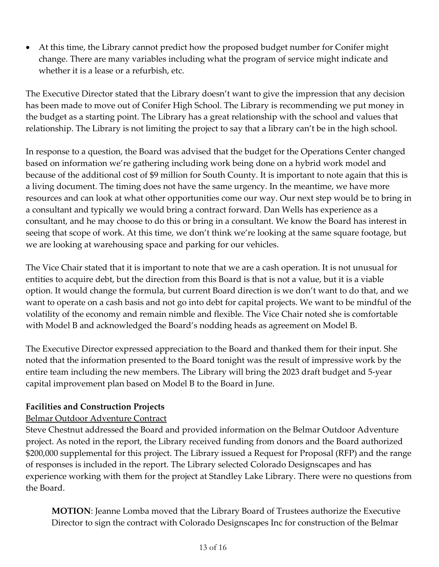• At this time, the Library cannot predict how the proposed budget number for Conifer might change. There are many variables including what the program of service might indicate and whether it is a lease or a refurbish, etc.

The Executive Director stated that the Library doesn't want to give the impression that any decision has been made to move out of Conifer High School. The Library is recommending we put money in the budget as a starting point. The Library has a great relationship with the school and values that relationship. The Library is not limiting the project to say that a library can't be in the high school.

In response to a question, the Board was advised that the budget for the Operations Center changed based on information we're gathering including work being done on a hybrid work model and because of the additional cost of \$9 million for South County. It is important to note again that this is a living document. The timing does not have the same urgency. In the meantime, we have more resources and can look at what other opportunities come our way. Our next step would be to bring in a consultant and typically we would bring a contract forward. Dan Wells has experience as a consultant, and he may choose to do this or bring in a consultant. We know the Board has interest in seeing that scope of work. At this time, we don't think we're looking at the same square footage, but we are looking at warehousing space and parking for our vehicles.

The Vice Chair stated that it is important to note that we are a cash operation. It is not unusual for entities to acquire debt, but the direction from this Board is that is not a value, but it is a viable option. It would change the formula, but current Board direction is we don't want to do that, and we want to operate on a cash basis and not go into debt for capital projects. We want to be mindful of the volatility of the economy and remain nimble and flexible. The Vice Chair noted she is comfortable with Model B and acknowledged the Board's nodding heads as agreement on Model B.

The Executive Director expressed appreciation to the Board and thanked them for their input. She noted that the information presented to the Board tonight was the result of impressive work by the entire team including the new members. The Library will bring the 2023 draft budget and 5-year capital improvement plan based on Model B to the Board in June.

#### **Facilities and Construction Projects**

#### Belmar Outdoor Adventure Contract

Steve Chestnut addressed the Board and provided information on the Belmar Outdoor Adventure project. As noted in the report, the Library received funding from donors and the Board authorized \$200,000 supplemental for this project. The Library issued a Request for Proposal (RFP) and the range of responses is included in the report. The Library selected Colorado Designscapes and has experience working with them for the project at Standley Lake Library. There were no questions from the Board.

**MOTION**: Jeanne Lomba moved that the Library Board of Trustees authorize the Executive Director to sign the contract with Colorado Designscapes Inc for construction of the Belmar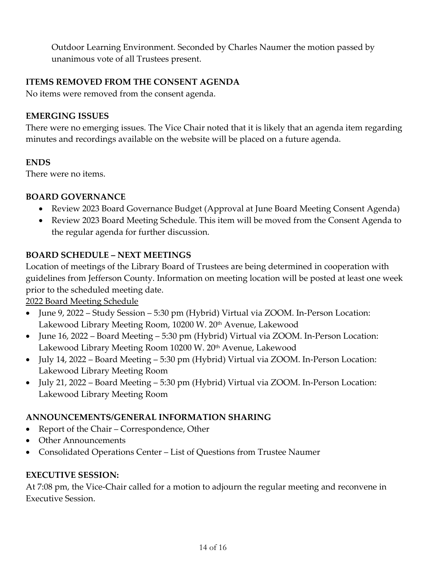Outdoor Learning Environment. Seconded by Charles Naumer the motion passed by unanimous vote of all Trustees present.

#### **ITEMS REMOVED FROM THE CONSENT AGENDA**

No items were removed from the consent agenda.

#### **EMERGING ISSUES**

There were no emerging issues. The Vice Chair noted that it is likely that an agenda item regarding minutes and recordings available on the website will be placed on a future agenda.

# **ENDS**

There were no items.

# **BOARD GOVERNANCE**

- Review 2023 Board Governance Budget (Approval at June Board Meeting Consent Agenda)
- Review 2023 Board Meeting Schedule. This item will be moved from the Consent Agenda to the regular agenda for further discussion.

# **BOARD SCHEDULE – NEXT MEETINGS**

Location of meetings of the Library Board of Trustees are being determined in cooperation with guidelines from Jefferson County. Information on meeting location will be posted at least one week prior to the scheduled meeting date.

2022 Board Meeting Schedule

- June 9, 2022 Study Session 5:30 pm (Hybrid) Virtual via ZOOM. In-Person Location: Lakewood Library Meeting Room, 10200 W. 20<sup>th</sup> Avenue, Lakewood
- June 16, 2022 Board Meeting 5:30 pm (Hybrid) Virtual via ZOOM. In-Person Location: Lakewood Library Meeting Room 10200 W. 20<sup>th</sup> Avenue, Lakewood
- July 14, 2022 Board Meeting 5:30 pm (Hybrid) Virtual via ZOOM. In-Person Location: Lakewood Library Meeting Room
- July 21, 2022 Board Meeting 5:30 pm (Hybrid) Virtual via ZOOM. In-Person Location: Lakewood Library Meeting Room

# **ANNOUNCEMENTS/GENERAL INFORMATION SHARING**

- Report of the Chair Correspondence, Other
- Other Announcements
- Consolidated Operations Center List of Questions from Trustee Naumer

# **EXECUTIVE SESSION:**

At 7:08 pm, the Vice-Chair called for a motion to adjourn the regular meeting and reconvene in Executive Session.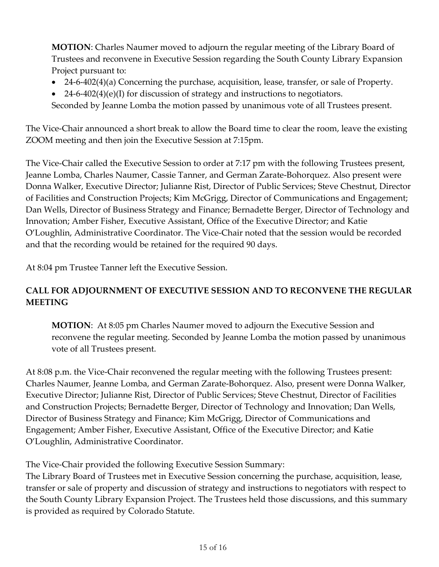**MOTION**: Charles Naumer moved to adjourn the regular meeting of the Library Board of Trustees and reconvene in Executive Session regarding the South County Library Expansion Project pursuant to:

- 24-6-402(4)(a) Concerning the purchase, acquisition, lease, transfer, or sale of Property.
- $24-6-402(4)(e)(I)$  for discussion of strategy and instructions to negotiators.

Seconded by Jeanne Lomba the motion passed by unanimous vote of all Trustees present.

The Vice-Chair announced a short break to allow the Board time to clear the room, leave the existing ZOOM meeting and then join the Executive Session at 7:15pm.

The Vice-Chair called the Executive Session to order at 7:17 pm with the following Trustees present, Jeanne Lomba, Charles Naumer, Cassie Tanner, and German Zarate-Bohorquez. Also present were Donna Walker, Executive Director; Julianne Rist, Director of Public Services; Steve Chestnut, Director of Facilities and Construction Projects; Kim McGrigg, Director of Communications and Engagement; Dan Wells, Director of Business Strategy and Finance; Bernadette Berger, Director of Technology and Innovation; Amber Fisher, Executive Assistant, Office of the Executive Director; and Katie O'Loughlin, Administrative Coordinator. The Vice-Chair noted that the session would be recorded and that the recording would be retained for the required 90 days.

At 8:04 pm Trustee Tanner left the Executive Session.

# **CALL FOR ADJOURNMENT OF EXECUTIVE SESSION AND TO RECONVENE THE REGULAR MEETING**

**MOTION**: At 8:05 pm Charles Naumer moved to adjourn the Executive Session and reconvene the regular meeting. Seconded by Jeanne Lomba the motion passed by unanimous vote of all Trustees present.

At 8:08 p.m. the Vice-Chair reconvened the regular meeting with the following Trustees present: Charles Naumer, Jeanne Lomba, and German Zarate-Bohorquez. Also, present were Donna Walker, Executive Director; Julianne Rist, Director of Public Services; Steve Chestnut, Director of Facilities and Construction Projects; Bernadette Berger, Director of Technology and Innovation; Dan Wells, Director of Business Strategy and Finance; Kim McGrigg, Director of Communications and Engagement; Amber Fisher, Executive Assistant, Office of the Executive Director; and Katie O'Loughlin, Administrative Coordinator.

The Vice-Chair provided the following Executive Session Summary:

The Library Board of Trustees met in Executive Session concerning the purchase, acquisition, lease, transfer or sale of property and discussion of strategy and instructions to negotiators with respect to the South County Library Expansion Project. The Trustees held those discussions, and this summary is provided as required by Colorado Statute.